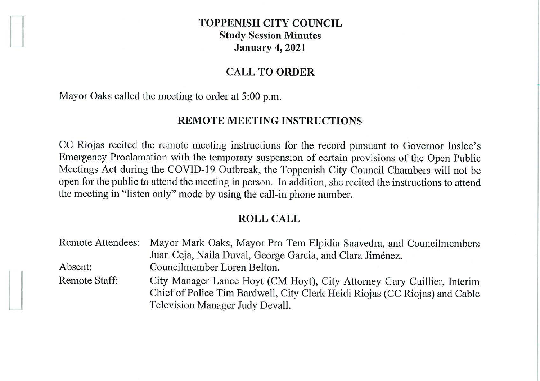# **TOPPENISH CITY COUNCIL Study Session Minutes January 4, 2021**

## **CALL TO ORDER**

Mayor Oaks called the meeting to order at 5:00 p.m.

#### **REMOTE MEETING INSTRUCTIONS**

CC Riojas recited the remote meeting instructions for the record pursuant to Governor Inslee's Emergency Proclamation with the temporary suspension of certain provisions of the Open Public Meetings Act during the COVID-19 Outbreak, the Toppenish City Council Chambers will not be open for the public to attend the meeting in person. In addition, she recited the instructions to attend the meeting in "listen only" mode by using the call-in phone number.

### **ROLL CALL**

|               | Remote Attendees: Mayor Mark Oaks, Mayor Pro Tem Elpidia Saavedra, and Councilmembers                                                                  |
|---------------|--------------------------------------------------------------------------------------------------------------------------------------------------------|
|               | Juan Ceja, Naila Duval, George Garcia, and Clara Jiménez.                                                                                              |
| Absent:       | Councilmember Loren Belton.                                                                                                                            |
| Remote Staff: | City Manager Lance Hoyt (CM Hoyt), City Attorney Gary Cuillier, Interim<br>Chief of Police Tim Bardwell, City Clerk Heidi Riojas (CC Riojas) and Cable |
|               | Television Manager Judy Devall.                                                                                                                        |